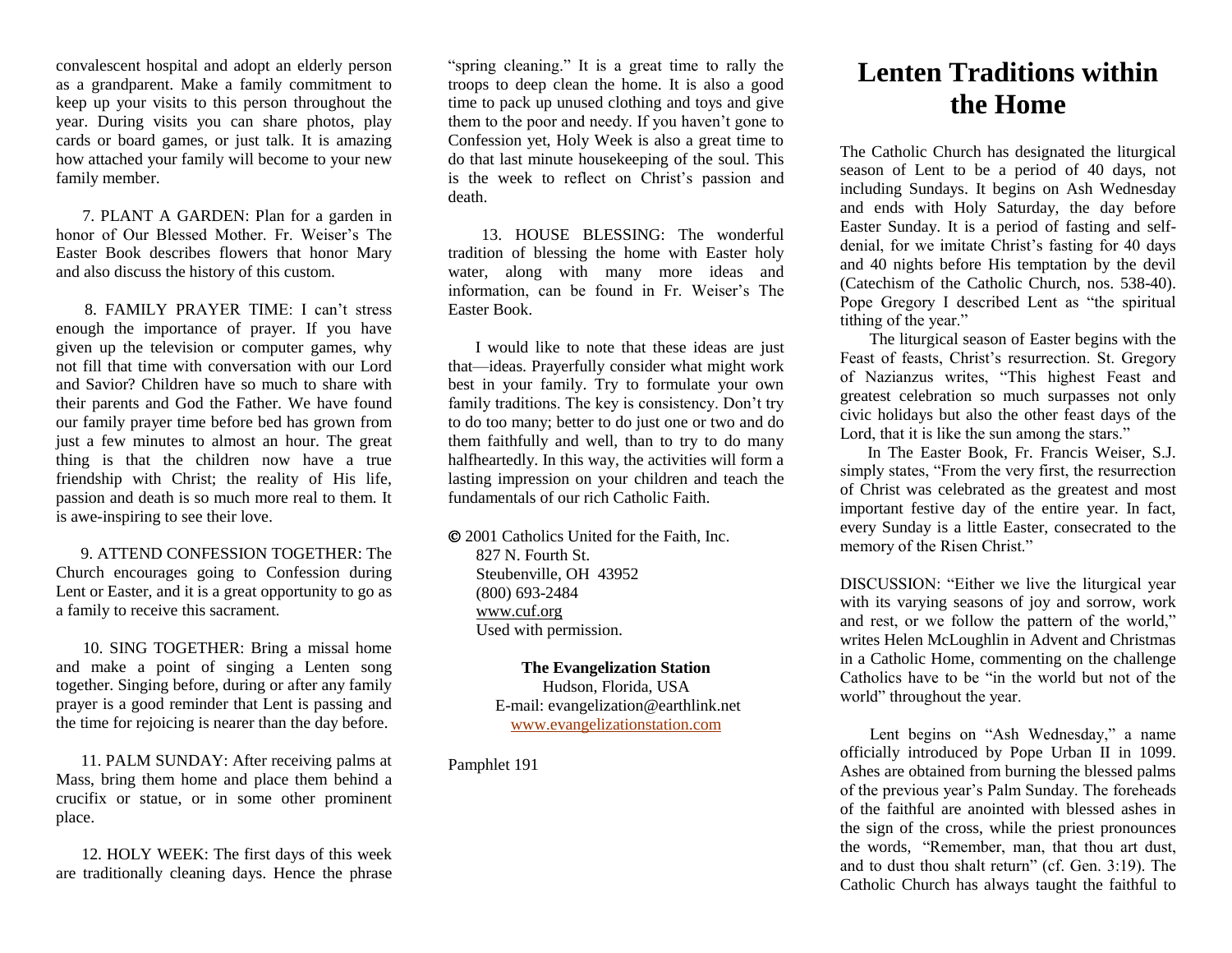convalescent hospital and adopt an elderly person as a grandparent. Make a family commitment to keep up your visits to this person throughout the year. During visits you can share photos, play cards or board games, or just talk. It is amazing how attached your family will become to your new family member.

 7. PLANT A GARDEN: Plan for a garden in honor of Our Blessed Mother. Fr. Weiser's The Easter Book describes flowers that honor Mary and also discuss the history of this custom.

 8. FAMILY PRAYER TIME: I can't stress enough the importance of prayer. If you have given up the television or computer games, why not fill that time with conversation with our Lord and Savior? Children have so much to share with their parents and God the Father. We have found our family prayer time before bed has grown from just a few minutes to almost an hour. The great thing is that the children now have a true friendship with Christ; the reality of His life, passion and death is so much more real to them. It is awe-inspiring to see their love.

 9. ATTEND CONFESSION TOGETHER: The Church encourages going to Confession during Lent or Easter, and it is a great opportunity to go as a family to receive this sacrament.

 10. SING TOGETHER: Bring a missal home and make a point of singing a Lenten song together. Singing before, during or after any family prayer is a good reminder that Lent is passing and the time for rejoicing is nearer than the day before.

 11. PALM SUNDAY: After receiving palms at Mass, bring them home and place them behind a crucifix or statue, or in some other prominent place.

 12. HOLY WEEK: The first days of this week are traditionally cleaning days. Hence the phrase

"spring cleaning." It is a great time to rally the troops to deep clean the home. It is also a good time to pack up unused clothing and toys and give them to the poor and needy. If you haven't gone to Confession yet, Holy Week is also a great time to do that last minute housekeeping of the soul. This is the week to reflect on Christ's passion and death.

 13. HOUSE BLESSING: The wonderful tradition of blessing the home with Easter holy water, along with many more ideas and information, can be found in Fr. Weiser's The Easter Book.

 I would like to note that these ideas are just that—ideas. Prayerfully consider what might work best in your family. Try to formulate your own family traditions. The key is consistency. Don't try to do too many; better to do just one or two and do them faithfully and well, than to try to do many halfheartedly. In this way, the activities will form a lasting impression on your children and teach the fundamentals of our rich Catholic Faith.

 2001 Catholics United for the Faith, Inc. 827 N. Fourth St. Steubenville, OH 43952 (800) 693-2484 [www.cuf.org](http://www.cuf.org/) Used with permission.

> **The Evangelization Station** Hudson, Florida, USA E-mail: evangelization@earthlink.net [www.evangelizationstation.com](http://www.pjpiisoe.org/)

Pamphlet 191

## **Lenten Traditions within the Home**

The Catholic Church has designated the liturgical season of Lent to be a period of 40 days, not including Sundays. It begins on Ash Wednesday and ends with Holy Saturday, the day before Easter Sunday. It is a period of fasting and selfdenial, for we imitate Christ's fasting for 40 days and 40 nights before His temptation by the devil (Catechism of the Catholic Church, nos. 538-40). Pope Gregory I described Lent as "the spiritual tithing of the year."

 The liturgical season of Easter begins with the Feast of feasts, Christ's resurrection. St. Gregory of Nazianzus writes, "This highest Feast and greatest celebration so much surpasses not only civic holidays but also the other feast days of the Lord, that it is like the sun among the stars."

 In The Easter Book, Fr. Francis Weiser, S.J. simply states, "From the very first, the resurrection of Christ was celebrated as the greatest and most important festive day of the entire year. In fact, every Sunday is a little Easter, consecrated to the memory of the Risen Christ."

DISCUSSION: "Either we live the liturgical year with its varying seasons of joy and sorrow, work and rest, or we follow the pattern of the world," writes Helen McLoughlin in Advent and Christmas in a Catholic Home, commenting on the challenge Catholics have to be "in the world but not of the world" throughout the year.

 Lent begins on "Ash Wednesday," a name officially introduced by Pope Urban II in 1099. Ashes are obtained from burning the blessed palms of the previous year's Palm Sunday. The foreheads of the faithful are anointed with blessed ashes in the sign of the cross, while the priest pronounces the words, "Remember, man, that thou art dust, and to dust thou shalt return" (cf. Gen. 3:19). The Catholic Church has always taught the faithful to